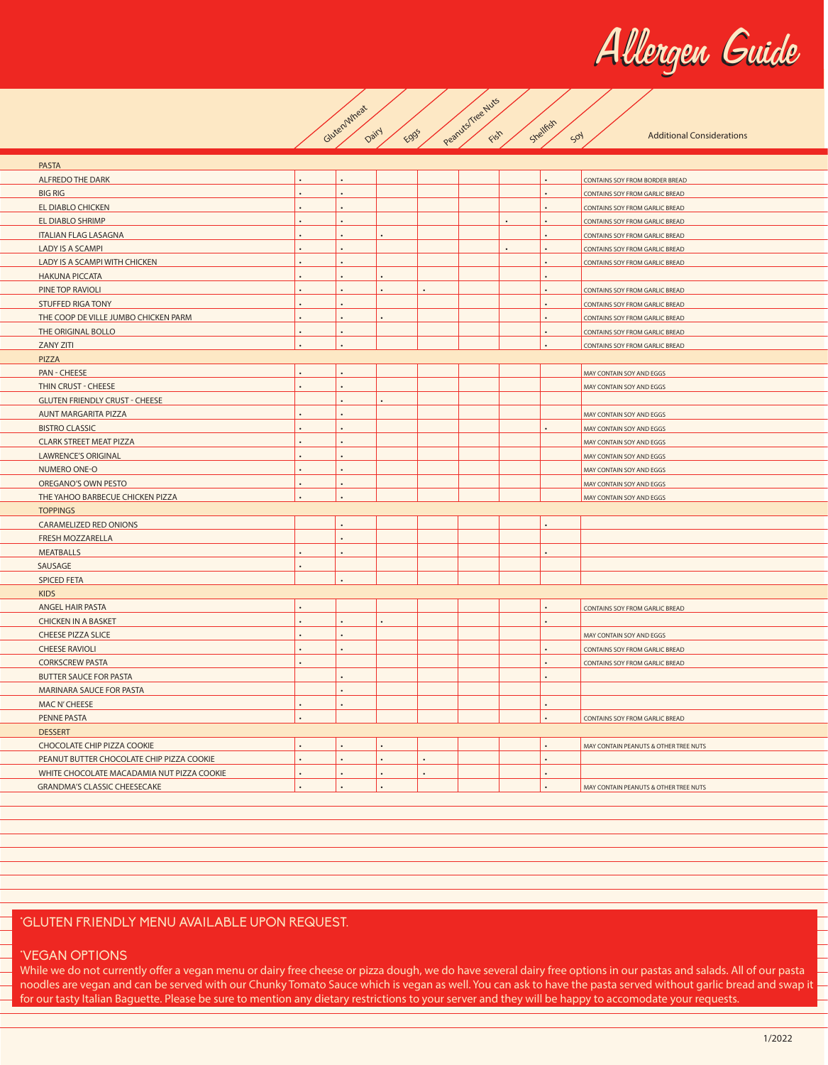Allergen Guide



| <b>PASTA</b>                               |                      |                      |           |                      |                      |                      |                                       |
|--------------------------------------------|----------------------|----------------------|-----------|----------------------|----------------------|----------------------|---------------------------------------|
| <b>ALFREDO THE DARK</b>                    |                      |                      |           |                      |                      |                      | CONTAINS SOY FROM BORDER BREAD        |
| <b>BIG RIG</b>                             |                      |                      |           |                      |                      |                      | CONTAINS SOY FROM GARLIC BREAD        |
| EL DIABLO CHICKEN                          |                      |                      |           |                      |                      |                      | CONTAINS SOY FROM GARLIC BREAD        |
| EL DIABLO SHRIMP                           | $\ddot{\phantom{a}}$ | $\ddot{\phantom{0}}$ |           |                      | $\ddot{\phantom{0}}$ | $\ddot{\phantom{0}}$ | CONTAINS SOY FROM GARLIC BREAD        |
| <b>ITALIAN FLAG LASAGNA</b>                |                      |                      |           |                      |                      |                      | CONTAINS SOY FROM GARLIC BREAD        |
| <b>LADY IS A SCAMPI</b>                    |                      |                      |           |                      |                      |                      | CONTAINS SOY FROM GARLIC BREAD        |
| LADY IS A SCAMPI WITH CHICKEN              |                      |                      |           |                      |                      |                      | CONTAINS SOY FROM GARLIC BREAD        |
| <b>HAKUNA PICCATA</b>                      |                      |                      |           |                      |                      |                      |                                       |
| PINE TOP RAVIOLI                           | $\ddot{\phantom{a}}$ | $\bullet$            | $\bullet$ | $\ddot{\phantom{0}}$ |                      | $\ddot{\phantom{0}}$ | CONTAINS SOY FROM GARLIC BREAD        |
| <b>STUFFED RIGA TONY</b>                   | $\ddot{\phantom{0}}$ |                      |           |                      |                      |                      | CONTAINS SOY FROM GARLIC BREAD        |
| THE COOP DE VILLE JUMBO CHICKEN PARM       |                      |                      |           |                      |                      |                      | CONTAINS SOY FROM GARLIC BREAD        |
| THE ORIGINAL BOLLO                         |                      |                      |           |                      |                      |                      | CONTAINS SOY FROM GARLIC BREAD        |
| <b>ZANY ZITI</b>                           |                      | $\blacksquare$       |           |                      |                      |                      | CONTAINS SOY FROM GARLIC BREAD        |
| PIZZA                                      |                      |                      |           |                      |                      |                      |                                       |
| PAN - CHEESE                               | $\overline{a}$       | $\sim$               |           |                      |                      |                      | MAY CONTAIN SOY AND EGGS              |
| THIN CRUST - CHEESE                        |                      |                      |           |                      |                      |                      | MAY CONTAIN SOY AND EGGS              |
| <b>GLUTEN FRIENDLY CRUST - CHEESE</b>      |                      | $\ddot{\phantom{0}}$ |           |                      |                      |                      |                                       |
| <b>AUNT MARGARITA PIZZA</b>                |                      | $\ddot{\phantom{0}}$ |           |                      |                      |                      | MAY CONTAIN SOY AND EGGS              |
| <b>BISTRO CLASSIC</b>                      |                      |                      |           |                      |                      |                      | MAY CONTAIN SOY AND EGGS              |
| <b>CLARK STREET MEAT PIZZA</b>             |                      |                      |           |                      |                      |                      | MAY CONTAIN SOY AND EGGS              |
| <b>LAWRENCE'S ORIGINAL</b>                 |                      | $\ddot{\phantom{0}}$ |           |                      |                      |                      | MAY CONTAIN SOY AND EGGS              |
| NUMERO ONE-O                               | $\bullet$            | $\bullet$            |           |                      |                      |                      | MAY CONTAIN SOY AND EGGS              |
| OREGANO'S OWN PESTO                        | $\ddot{\phantom{a}}$ | $\ddot{\phantom{a}}$ |           |                      |                      |                      | MAY CONTAIN SOY AND EGGS              |
| THE YAHOO BARBECUE CHICKEN PIZZA           |                      |                      |           |                      |                      |                      | MAY CONTAIN SOY AND EGGS              |
| <b>TOPPINGS</b>                            |                      |                      |           |                      |                      |                      |                                       |
| CARAMELIZED RED ONIONS                     |                      |                      |           |                      |                      |                      |                                       |
| FRESH MOZZARELLA                           |                      |                      |           |                      |                      |                      |                                       |
| <b>MEATBALLS</b>                           | $\ddot{\phantom{a}}$ |                      |           |                      |                      | $\ddot{\phantom{0}}$ |                                       |
| SAUSAGE                                    |                      |                      |           |                      |                      |                      |                                       |
| <b>SPICED FETA</b>                         |                      |                      |           |                      |                      |                      |                                       |
| <b>KIDS</b>                                |                      |                      |           |                      |                      |                      |                                       |
| ANGEL HAIR PASTA                           | $\ddot{\phantom{1}}$ |                      |           |                      |                      |                      | CONTAINS SOY FROM GARLIC BREAD        |
| <b>CHICKEN IN A BASKET</b>                 | $\ddot{\phantom{a}}$ |                      |           |                      |                      | $\ddot{\phantom{0}}$ |                                       |
| <b>CHEESE PIZZA SLICE</b>                  | $\ddot{\phantom{a}}$ | $\bullet$            |           |                      |                      |                      | MAY CONTAIN SOY AND EGGS              |
| <b>CHEESE RAVIOLI</b>                      | $\bullet$            | $\bullet$            |           |                      |                      | $\bullet$            | CONTAINS SOY FROM GARLIC BREAD        |
| <b>CORKSCREW PASTA</b>                     | $\ddot{\phantom{0}}$ |                      |           |                      |                      | $\ddot{\phantom{0}}$ | CONTAINS SOY FROM GARLIC BREAD        |
| <b>BUTTER SAUCE FOR PASTA</b>              |                      |                      |           |                      |                      |                      |                                       |
| MARINARA SAUCE FOR PASTA                   |                      |                      |           |                      |                      |                      |                                       |
| MAC N'CHEESE                               | $\bullet$            | $\cdot$              |           |                      |                      | $\bullet$            |                                       |
| <b>PENNE PASTA</b>                         |                      |                      |           |                      |                      |                      | CONTAINS SOY FROM GARLIC BREAD        |
| <b>DESSERT</b>                             |                      |                      |           |                      |                      |                      |                                       |
| CHOCOLATE CHIP PIZZA COOKIE                |                      |                      |           |                      |                      |                      | MAY CONTAIN PEANUTS & OTHER TREE NUTS |
| PEANUT BUTTER CHOCOLATE CHIP PIZZA COOKIE  | $\ddot{\phantom{a}}$ | $\cdot$              | $\cdot$   | $\bullet$            |                      | $\ddot{\phantom{0}}$ |                                       |
| WHITE CHOCOLATE MACADAMIA NUT PIZZA COOKIE | $\bullet$            | $\bullet$            | $\bullet$ | $\bullet$            |                      | $\ddot{\phantom{0}}$ |                                       |
| <b>GRANDMA'S CLASSIC CHEESECAKE</b>        |                      |                      |           |                      |                      | $\overline{a}$       | MAY CONTAIN PEANUTS & OTHER TREE NUTS |
|                                            |                      |                      |           |                      |                      |                      |                                       |

## **GLUTEN FRIENDLY MENU AVAILABLE UPON REQUEST.**

## **\*VEGAN OPTIONS**

While we do not currently offer a vegan menu or dairy free cheese or pizza dough, we do have several dairy free options in our pastas and salads. All of our pasta noodles are vegan and can be served with our Chunky Tomato Sauce which is vegan as well. You can ask to have the pasta served without garlic bread and swap it for our tasty Italian Baguette. Please be sure to mention any dietary restrictions to your server and they will be happy to accomodate your requests.